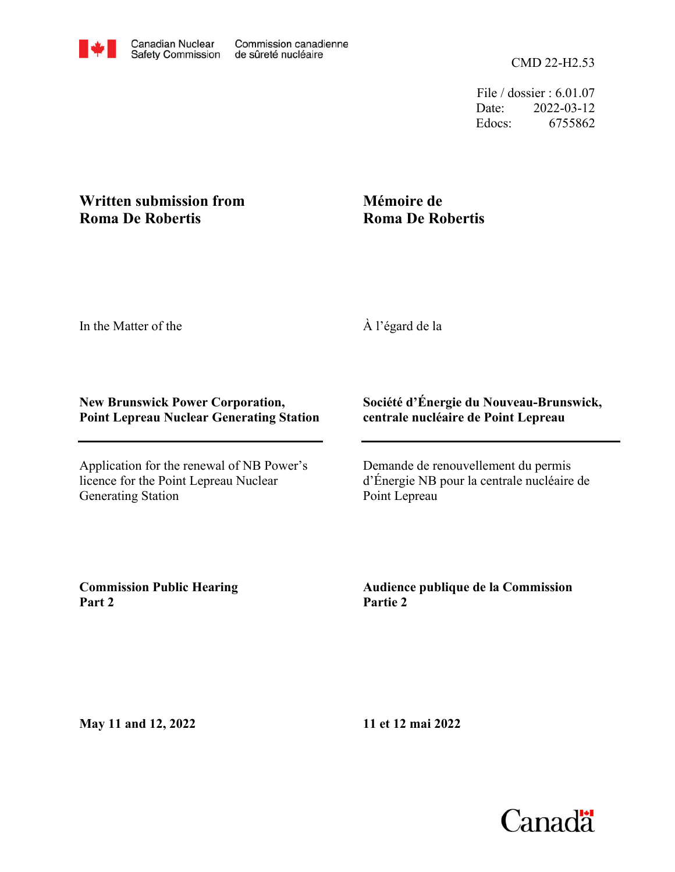File / dossier : 6.01.07 Date: 2022-03-12 Edocs: 6755862

## **Written submission from Roma De Robertis**

## **Mémoire de Roma De Robertis**

In the Matter of the

À l'égard de la

## **New Brunswick Power Corporation, Point Lepreau Nuclear Generating Station**

Application for the renewal of NB Power's licence for the Point Lepreau Nuclear Generating Station

## **Société d'Énergie du Nouveau-Brunswick, centrale nucléaire de Point Lepreau**

Demande de renouvellement du permis d'Énergie NB pour la centrale nucléaire de Point Lepreau

**Commission Public Hearing Part 2**

**Audience publique de la Commission Partie 2**

**May 11 and 12, 2022**

**11 et 12 mai 2022**